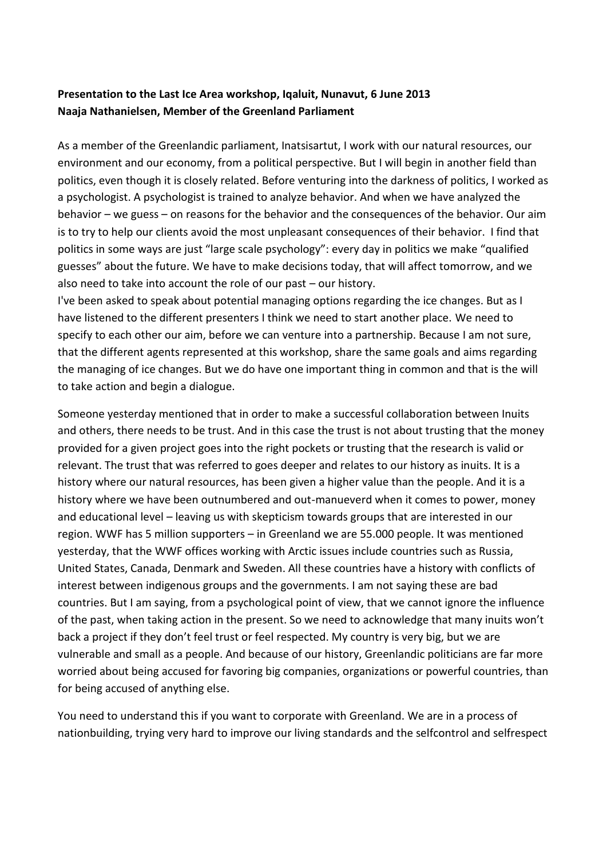## **Presentation to the Last Ice Area workshop, Iqaluit, Nunavut, 6 June 2013 Naaja Nathanielsen, Member of the Greenland Parliament**

As a member of the Greenlandic parliament, Inatsisartut, I work with our natural resources, our environment and our economy, from a political perspective. But I will begin in another field than politics, even though it is closely related. Before venturing into the darkness of politics, I worked as a psychologist. A psychologist is trained to analyze behavior. And when we have analyzed the behavior – we guess – on reasons for the behavior and the consequences of the behavior. Our aim is to try to help our clients avoid the most unpleasant consequences of their behavior. I find that politics in some ways are just "large scale psychology": every day in politics we make "qualified guesses" about the future. We have to make decisions today, that will affect tomorrow, and we also need to take into account the role of our past – our history.

I've been asked to speak about potential managing options regarding the ice changes. But as I have listened to the different presenters I think we need to start another place. We need to specify to each other our aim, before we can venture into a partnership. Because I am not sure, that the different agents represented at this workshop, share the same goals and aims regarding the managing of ice changes. But we do have one important thing in common and that is the will to take action and begin a dialogue.

Someone yesterday mentioned that in order to make a successful collaboration between Inuits and others, there needs to be trust. And in this case the trust is not about trusting that the money provided for a given project goes into the right pockets or trusting that the research is valid or relevant. The trust that was referred to goes deeper and relates to our history as inuits. It is a history where our natural resources, has been given a higher value than the people. And it is a history where we have been outnumbered and out-manueverd when it comes to power, money and educational level – leaving us with skepticism towards groups that are interested in our region. WWF has 5 million supporters – in Greenland we are 55.000 people. It was mentioned yesterday, that the WWF offices working with Arctic issues include countries such as Russia, United States, Canada, Denmark and Sweden. All these countries have a history with conflicts of interest between indigenous groups and the governments. I am not saying these are bad countries. But I am saying, from a psychological point of view, that we cannot ignore the influence of the past, when taking action in the present. So we need to acknowledge that many inuits won't back a project if they don't feel trust or feel respected. My country is very big, but we are vulnerable and small as a people. And because of our history, Greenlandic politicians are far more worried about being accused for favoring big companies, organizations or powerful countries, than for being accused of anything else.

You need to understand this if you want to corporate with Greenland. We are in a process of nationbuilding, trying very hard to improve our living standards and the selfcontrol and selfrespect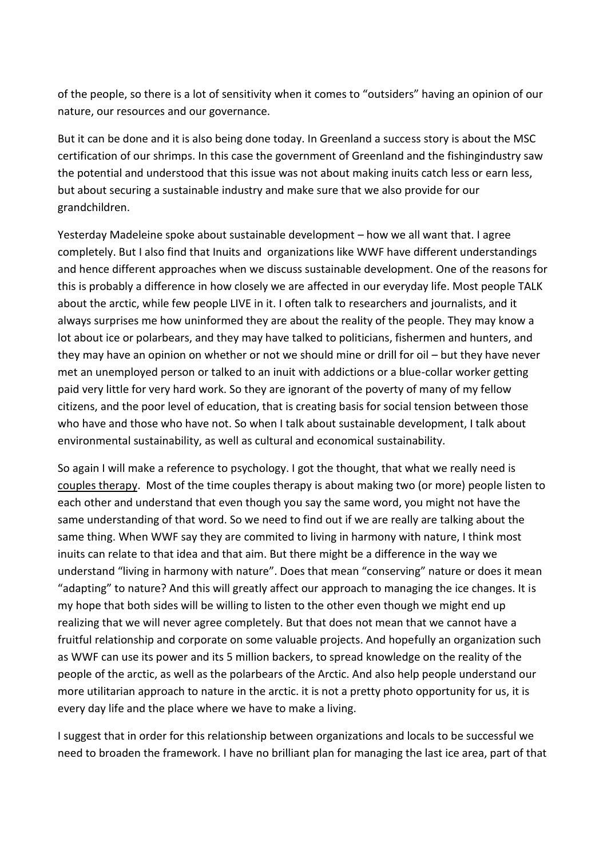of the people, so there is a lot of sensitivity when it comes to "outsiders" having an opinion of our nature, our resources and our governance.

But it can be done and it is also being done today. In Greenland a success story is about the MSC certification of our shrimps. In this case the government of Greenland and the fishingindustry saw the potential and understood that this issue was not about making inuits catch less or earn less, but about securing a sustainable industry and make sure that we also provide for our grandchildren.

Yesterday Madeleine spoke about sustainable development – how we all want that. I agree completely. But I also find that Inuits and organizations like WWF have different understandings and hence different approaches when we discuss sustainable development. One of the reasons for this is probably a difference in how closely we are affected in our everyday life. Most people TALK about the arctic, while few people LIVE in it. I often talk to researchers and journalists, and it always surprises me how uninformed they are about the reality of the people. They may know a lot about ice or polarbears, and they may have talked to politicians, fishermen and hunters, and they may have an opinion on whether or not we should mine or drill for oil – but they have never met an unemployed person or talked to an inuit with addictions or a blue-collar worker getting paid very little for very hard work. So they are ignorant of the poverty of many of my fellow citizens, and the poor level of education, that is creating basis for social tension between those who have and those who have not. So when I talk about sustainable development, I talk about environmental sustainability, as well as cultural and economical sustainability.

So again I will make a reference to psychology. I got the thought, that what we really need is couples therapy. Most of the time couples therapy is about making two (or more) people listen to each other and understand that even though you say the same word, you might not have the same understanding of that word. So we need to find out if we are really are talking about the same thing. When WWF say they are commited to living in harmony with nature, I think most inuits can relate to that idea and that aim. But there might be a difference in the way we understand "living in harmony with nature". Does that mean "conserving" nature or does it mean "adapting" to nature? And this will greatly affect our approach to managing the ice changes. It is my hope that both sides will be willing to listen to the other even though we might end up realizing that we will never agree completely. But that does not mean that we cannot have a fruitful relationship and corporate on some valuable projects. And hopefully an organization such as WWF can use its power and its 5 million backers, to spread knowledge on the reality of the people of the arctic, as well as the polarbears of the Arctic. And also help people understand our more utilitarian approach to nature in the arctic. it is not a pretty photo opportunity for us, it is every day life and the place where we have to make a living.

I suggest that in order for this relationship between organizations and locals to be successful we need to broaden the framework. I have no brilliant plan for managing the last ice area, part of that